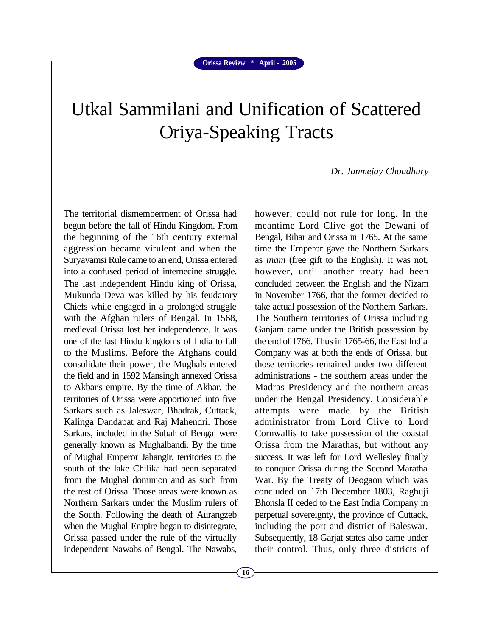## Utkal Sammilani and Unification of Scattered Oriya-Speaking Tracts

*Dr. Janmejay Choudhury*

The territorial dismemberment of Orissa had begun before the fall of Hindu Kingdom. From the beginning of the 16th century external aggression became virulent and when the Suryavamsi Rule came to an end, Orissa entered into a confused period of internecine struggle. The last independent Hindu king of Orissa, Mukunda Deva was killed by his feudatory Chiefs while engaged in a prolonged struggle with the Afghan rulers of Bengal. In 1568, medieval Orissa lost her independence. It was one of the last Hindu kingdoms of India to fall to the Muslims. Before the Afghans could consolidate their power, the Mughals entered the field and in 1592 Mansingh annexed Orissa to Akbar's empire. By the time of Akbar, the territories of Orissa were apportioned into five Sarkars such as Jaleswar, Bhadrak, Cuttack, Kalinga Dandapat and Raj Mahendri. Those Sarkars, included in the Subah of Bengal were generally known as Mughalbandi. By the time of Mughal Emperor Jahangir, territories to the south of the lake Chilika had been separated from the Mughal dominion and as such from the rest of Orissa. Those areas were known as Northern Sarkars under the Muslim rulers of the South. Following the death of Aurangzeb when the Mughal Empire began to disintegrate, Orissa passed under the rule of the virtually independent Nawabs of Bengal. The Nawabs,

however, could not rule for long. In the meantime Lord Clive got the Dewani of Bengal, Bihar and Orissa in 1765. At the same time the Emperor gave the Northern Sarkars as *inam* (free gift to the English). It was not, however, until another treaty had been concluded between the English and the Nizam in November 1766, that the former decided to take actual possession of the Northern Sarkars. The Southern territories of Orissa including Ganjam came under the British possession by the end of 1766. Thus in 1765-66, the East India Company was at both the ends of Orissa, but those territories remained under two different administrations - the southern areas under the Madras Presidency and the northern areas under the Bengal Presidency. Considerable attempts were made by the British administrator from Lord Clive to Lord Cornwallis to take possession of the coastal Orissa from the Marathas, but without any success. It was left for Lord Wellesley finally to conquer Orissa during the Second Maratha War. By the Treaty of Deogaon which was concluded on 17th December 1803, Raghuji Bhonsla II ceded to the East India Company in perpetual sovereignty, the province of Cuttack, including the port and district of Baleswar. Subsequently, 18 Garjat states also came under their control. Thus, only three districts of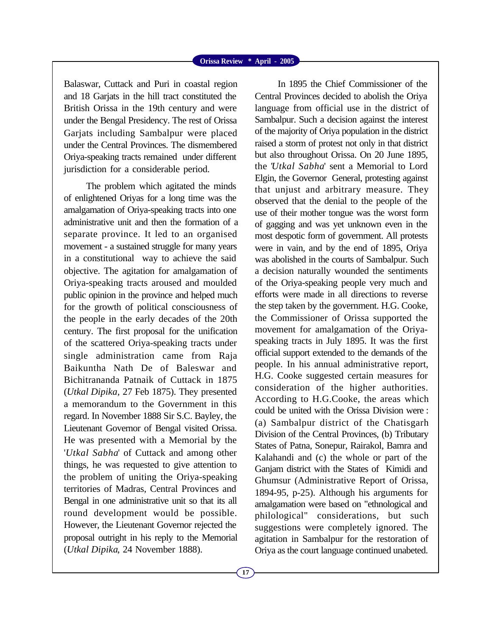## **Orissa Review \* April - 2005**

Balaswar, Cuttack and Puri in coastal region and 18 Garjats in the hill tract constituted the British Orissa in the 19th century and were under the Bengal Presidency. The rest of Orissa Garjats including Sambalpur were placed under the Central Provinces. The dismembered Oriya-speaking tracts remained under different jurisdiction for a considerable period.

The problem which agitated the minds of enlightened Oriyas for a long time was the amalgamation of Oriya-speaking tracts into one administrative unit and then the formation of a separate province. It led to an organised movement - a sustained struggle for many years in a constitutional way to achieve the said objective. The agitation for amalgamation of Oriya-speaking tracts aroused and moulded public opinion in the province and helped much for the growth of political consciousness of the people in the early decades of the 20th century. The first proposal for the unification of the scattered Oriya-speaking tracts under single administration came from Raja Baikuntha Nath De of Baleswar and Bichitrananda Patnaik of Cuttack in 1875 (*Utkal Dipika,* 27 Feb 1875). They presented a memorandum to the Government in this regard. In November 1888 Sir S.C. Bayley, the Lieutenant Governor of Bengal visited Orissa. He was presented with a Memorial by the '*Utkal Sabha*' of Cuttack and among other things, he was requested to give attention to the problem of uniting the Oriya-speaking territories of Madras, Central Provinces and Bengal in one administrative unit so that its all round development would be possible. However, the Lieutenant Governor rejected the proposal outright in his reply to the Memorial (*Utkal Dipika*, 24 November 1888).

Central Provinces decided to abolish the Oriya language from official use in the district of Sambalpur. Such a decision against the interest of the majority of Oriya population in the district raised a storm of protest not only in that district but also throughout Orissa. On 20 June 1895, the '*Utkal Sabha*' sent a Memorial to Lord Elgin, the Governor General, protesting against that unjust and arbitrary measure. They observed that the denial to the people of the use of their mother tongue was the worst form of gagging and was yet unknown even in the most despotic form of government. All protests were in vain, and by the end of 1895, Oriya was abolished in the courts of Sambalpur. Such a decision naturally wounded the sentiments of the Oriya-speaking people very much and efforts were made in all directions to reverse the step taken by the government. H.G. Cooke, the Commissioner of Orissa supported the movement for amalgamation of the Oriyaspeaking tracts in July 1895. It was the first official support extended to the demands of the people. In his annual administrative report, H.G. Cooke suggested certain measures for consideration of the higher authorities. According to H.G.Cooke, the areas which could be united with the Orissa Division were : (a) Sambalpur district of the Chatisgarh Division of the Central Provinces, (b) Tributary States of Patna, Sonepur, Rairakol, Bamra and Kalahandi and (c) the whole or part of the Ganjam district with the States of Kimidi and Ghumsur (Administrative Report of Orissa, 1894-95, p-25). Although his arguments for amalgamation were based on "ethnological and philological" considerations, but such suggestions were completely ignored. The agitation in Sambalpur for the restoration of Oriya as the court language continued unabeted.

In 1895 the Chief Commissioner of the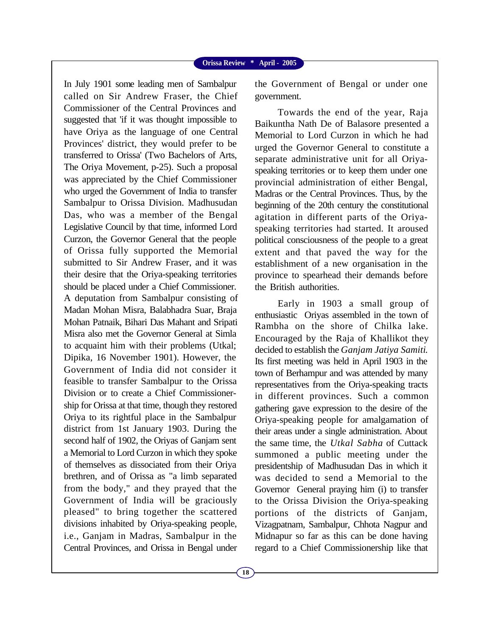## **Orissa Review \* April - 2005**

In July 1901 some leading men of Sambalpur called on Sir Andrew Fraser, the Chief Commissioner of the Central Provinces and suggested that 'if it was thought impossible to have Oriya as the language of one Central Provinces' district, they would prefer to be transferred to Orissa' (Two Bachelors of Arts, The Oriya Movement, p-25). Such a proposal was appreciated by the Chief Commissioner who urged the Government of India to transfer Sambalpur to Orissa Division. Madhusudan Das, who was a member of the Bengal Legislative Council by that time, informed Lord Curzon, the Governor General that the people of Orissa fully supported the Memorial submitted to Sir Andrew Fraser, and it was their desire that the Oriya-speaking territories should be placed under a Chief Commissioner. A deputation from Sambalpur consisting of Madan Mohan Misra, Balabhadra Suar, Braja Mohan Patnaik, Bihari Das Mahant and Sripati Misra also met the Governor General at Simla to acquaint him with their problems (Utkal; Dipika, 16 November 1901). However, the Government of India did not consider it feasible to transfer Sambalpur to the Orissa Division or to create a Chief Commissionership for Orissa at that time, though they restored Oriya to its rightful place in the Sambalpur district from 1st January 1903. During the second half of 1902, the Oriyas of Ganjam sent a Memorial to Lord Curzon in which they spoke of themselves as dissociated from their Oriya brethren, and of Orissa as "a limb separated from the body," and they prayed that the Government of India will be graciously pleased" to bring together the scattered divisions inhabited by Oriya-speaking people, i.e., Ganjam in Madras, Sambalpur in the Central Provinces, and Orissa in Bengal under

the Government of Bengal or under one government.

Towards the end of the year, Raja Baikuntha Nath De of Balasore presented a Memorial to Lord Curzon in which he had urged the Governor General to constitute a separate administrative unit for all Oriyaspeaking territories or to keep them under one provincial administration of either Bengal, Madras or the Central Provinces. Thus, by the beginning of the 20th century the constitutional agitation in different parts of the Oriyaspeaking territories had started. It aroused political consciousness of the people to a great extent and that paved the way for the establishment of a new organisation in the province to spearhead their demands before the British authorities.

Early in 1903 a small group of enthusiastic Oriyas assembled in the town of Rambha on the shore of Chilka lake. Encouraged by the Raja of Khallikot they decided to establish the *Ganjam Jatiya Samiti*. Its first meeting was held in April 1903 in the town of Berhampur and was attended by many representatives from the Oriya-speaking tracts in different provinces. Such a common gathering gave expression to the desire of the Oriya-speaking people for amalgamation of their areas under a single administration. About the same time, the *Utkal Sabha* of Cuttack summoned a public meeting under the presidentship of Madhusudan Das in which it was decided to send a Memorial to the Governor General praying him (i) to transfer to the Orissa Division the Oriya-speaking portions of the districts of Ganjam, Vizagpatnam, Sambalpur, Chhota Nagpur and Midnapur so far as this can be done having regard to a Chief Commissionership like that